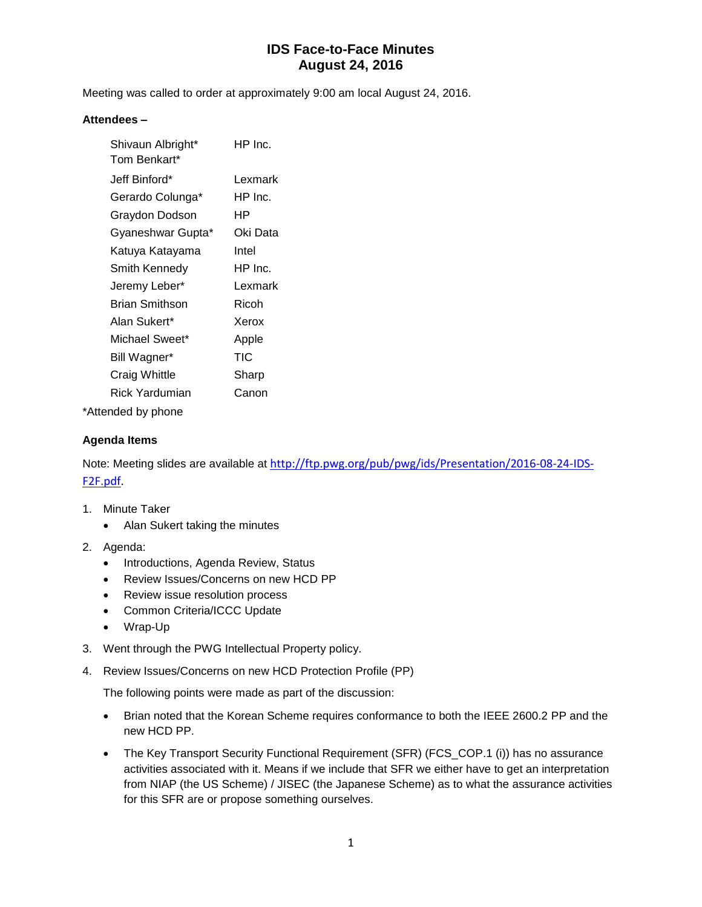Meeting was called to order at approximately 9:00 am local August 24, 2016.

#### **Attendees –**

| Shivaun Albright*<br>Tom Benkart* | HP Inc.  |
|-----------------------------------|----------|
| Jeff Binford*                     | Lexmark  |
| Gerardo Colunga*                  | HP Inc.  |
| Graydon Dodson                    | ΗP       |
| Gyaneshwar Gupta*                 | Oki Data |
| Katuya Katayama                   | Intel    |
| Smith Kennedy                     | HP Inc.  |
| Jeremy Leber*                     | Lexmark  |
| Brian Smithson                    | Ricoh    |
| Alan Sukert*                      | Xerox    |
| Michael Sweet*                    | Apple    |
| Bill Wagner*                      | TIC      |
| Craig Whittle                     | Sharp    |
| Rick Yardumian                    | Canon    |
|                                   |          |

\*Attended by phone

#### **Agenda Items**

Note: Meeting slides are available at [http://ftp.pwg.org/pub/pwg/ids/Presentation/2016-08-24-IDS-](http://ftp.pwg.org/pub/pwg/ids/Presentation/2016-08-24-IDS-F2F.pdf)[F2F.pdf.](http://ftp.pwg.org/pub/pwg/ids/Presentation/2016-08-24-IDS-F2F.pdf)

- 1. Minute Taker
	- Alan Sukert taking the minutes
- 2. Agenda:
	- Introductions, Agenda Review, Status
	- Review Issues/Concerns on new HCD PP
	- Review issue resolution process
	- Common Criteria/ICCC Update
	- Wrap-Up
- 3. Went through the PWG Intellectual Property policy.
- 4. Review Issues/Concerns on new HCD Protection Profile (PP)

The following points were made as part of the discussion:

- Brian noted that the Korean Scheme requires conformance to both the IEEE 2600.2 PP and the new HCD PP.
- The Key Transport Security Functional Requirement (SFR) (FCS\_COP.1 (i)) has no assurance activities associated with it. Means if we include that SFR we either have to get an interpretation from NIAP (the US Scheme) / JISEC (the Japanese Scheme) as to what the assurance activities for this SFR are or propose something ourselves.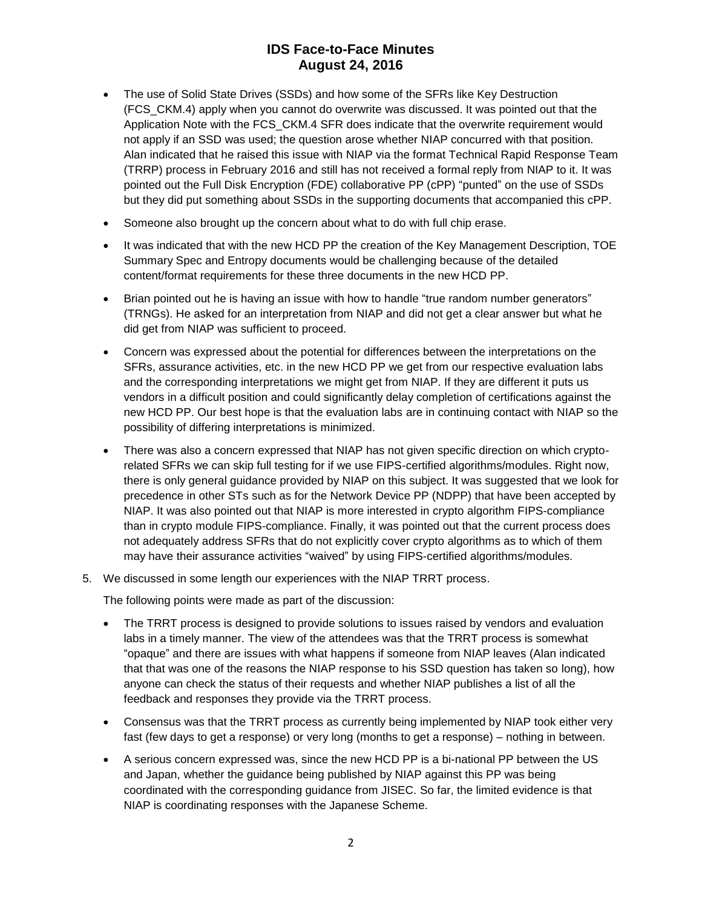- The use of Solid State Drives (SSDs) and how some of the SFRs like Key Destruction (FCS\_CKM.4) apply when you cannot do overwrite was discussed. It was pointed out that the Application Note with the FCS\_CKM.4 SFR does indicate that the overwrite requirement would not apply if an SSD was used; the question arose whether NIAP concurred with that position. Alan indicated that he raised this issue with NIAP via the format Technical Rapid Response Team (TRRP) process in February 2016 and still has not received a formal reply from NIAP to it. It was pointed out the Full Disk Encryption (FDE) collaborative PP (cPP) "punted" on the use of SSDs but they did put something about SSDs in the supporting documents that accompanied this cPP.
- Someone also brought up the concern about what to do with full chip erase.
- It was indicated that with the new HCD PP the creation of the Key Management Description, TOE Summary Spec and Entropy documents would be challenging because of the detailed content/format requirements for these three documents in the new HCD PP.
- Brian pointed out he is having an issue with how to handle "true random number generators" (TRNGs). He asked for an interpretation from NIAP and did not get a clear answer but what he did get from NIAP was sufficient to proceed.
- Concern was expressed about the potential for differences between the interpretations on the SFRs, assurance activities, etc. in the new HCD PP we get from our respective evaluation labs and the corresponding interpretations we might get from NIAP. If they are different it puts us vendors in a difficult position and could significantly delay completion of certifications against the new HCD PP. Our best hope is that the evaluation labs are in continuing contact with NIAP so the possibility of differing interpretations is minimized.
- There was also a concern expressed that NIAP has not given specific direction on which cryptorelated SFRs we can skip full testing for if we use FIPS-certified algorithms/modules. Right now, there is only general guidance provided by NIAP on this subject. It was suggested that we look for precedence in other STs such as for the Network Device PP (NDPP) that have been accepted by NIAP. It was also pointed out that NIAP is more interested in crypto algorithm FIPS-compliance than in crypto module FIPS-compliance. Finally, it was pointed out that the current process does not adequately address SFRs that do not explicitly cover crypto algorithms as to which of them may have their assurance activities "waived" by using FIPS-certified algorithms/modules.
- 5. We discussed in some length our experiences with the NIAP TRRT process.

The following points were made as part of the discussion:

- The TRRT process is designed to provide solutions to issues raised by vendors and evaluation labs in a timely manner. The view of the attendees was that the TRRT process is somewhat "opaque" and there are issues with what happens if someone from NIAP leaves (Alan indicated that that was one of the reasons the NIAP response to his SSD question has taken so long), how anyone can check the status of their requests and whether NIAP publishes a list of all the feedback and responses they provide via the TRRT process.
- Consensus was that the TRRT process as currently being implemented by NIAP took either very fast (few days to get a response) or very long (months to get a response) – nothing in between.
- A serious concern expressed was, since the new HCD PP is a bi-national PP between the US and Japan, whether the guidance being published by NIAP against this PP was being coordinated with the corresponding guidance from JISEC. So far, the limited evidence is that NIAP is coordinating responses with the Japanese Scheme.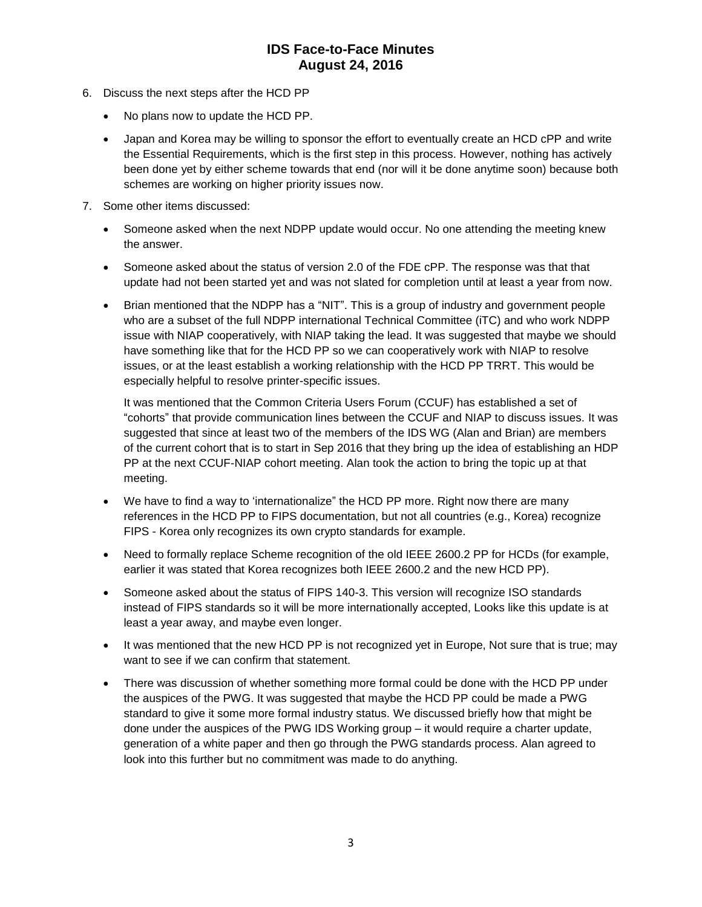- 6. Discuss the next steps after the HCD PP
	- No plans now to update the HCD PP.
	- Japan and Korea may be willing to sponsor the effort to eventually create an HCD cPP and write the Essential Requirements, which is the first step in this process. However, nothing has actively been done yet by either scheme towards that end (nor will it be done anytime soon) because both schemes are working on higher priority issues now.
- 7. Some other items discussed:
	- Someone asked when the next NDPP update would occur. No one attending the meeting knew the answer.
	- Someone asked about the status of version 2.0 of the FDE cPP. The response was that that update had not been started yet and was not slated for completion until at least a year from now.
	- Brian mentioned that the NDPP has a "NIT". This is a group of industry and government people who are a subset of the full NDPP international Technical Committee (iTC) and who work NDPP issue with NIAP cooperatively, with NIAP taking the lead. It was suggested that maybe we should have something like that for the HCD PP so we can cooperatively work with NIAP to resolve issues, or at the least establish a working relationship with the HCD PP TRRT. This would be especially helpful to resolve printer-specific issues.

It was mentioned that the Common Criteria Users Forum (CCUF) has established a set of "cohorts" that provide communication lines between the CCUF and NIAP to discuss issues. It was suggested that since at least two of the members of the IDS WG (Alan and Brian) are members of the current cohort that is to start in Sep 2016 that they bring up the idea of establishing an HDP PP at the next CCUF-NIAP cohort meeting. Alan took the action to bring the topic up at that meeting.

- We have to find a way to 'internationalize" the HCD PP more. Right now there are many references in the HCD PP to FIPS documentation, but not all countries (e.g., Korea) recognize FIPS - Korea only recognizes its own crypto standards for example.
- Need to formally replace Scheme recognition of the old IEEE 2600.2 PP for HCDs (for example, earlier it was stated that Korea recognizes both IEEE 2600.2 and the new HCD PP).
- Someone asked about the status of FIPS 140-3. This version will recognize ISO standards instead of FIPS standards so it will be more internationally accepted, Looks like this update is at least a year away, and maybe even longer.
- It was mentioned that the new HCD PP is not recognized yet in Europe, Not sure that is true; may want to see if we can confirm that statement.
- There was discussion of whether something more formal could be done with the HCD PP under the auspices of the PWG. It was suggested that maybe the HCD PP could be made a PWG standard to give it some more formal industry status. We discussed briefly how that might be done under the auspices of the PWG IDS Working group – it would require a charter update, generation of a white paper and then go through the PWG standards process. Alan agreed to look into this further but no commitment was made to do anything.